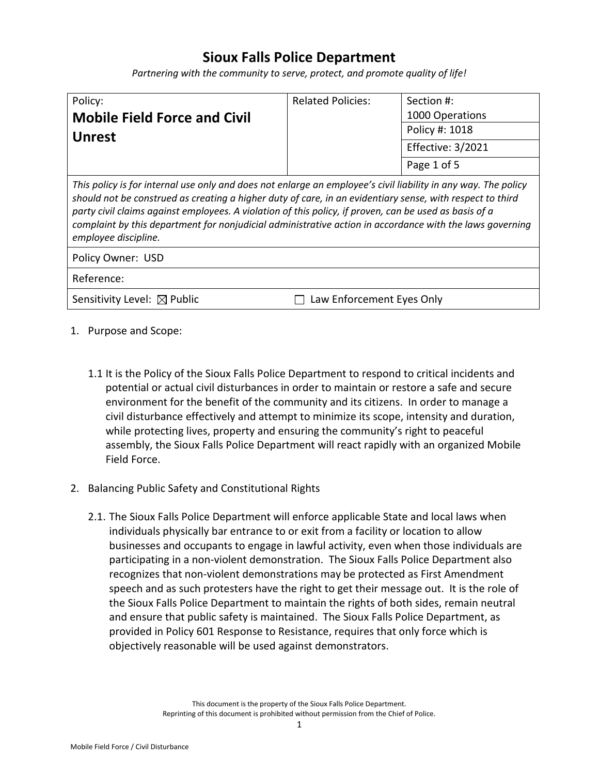# **Sioux Falls Police Department**

*Partnering with the community to serve, protect, and promote quality of life!*

| Policy:                             | <b>Related Policies:</b> | Section #:        |
|-------------------------------------|--------------------------|-------------------|
| <b>Mobile Field Force and Civil</b> |                          | 1000 Operations   |
| <b>Unrest</b>                       |                          | Policy #: 1018    |
|                                     |                          | Effective: 3/2021 |
|                                     |                          | Page 1 of 5       |

*This policy is for internal use only and does not enlarge an employee's civil liability in any way. The policy should not be construed as creating a higher duty of care, in an evidentiary sense, with respect to third party civil claims against employees. A violation of this policy, if proven, can be used as basis of a complaint by this department for nonjudicial administrative action in accordance with the laws governing employee discipline.*

| Policy Owner: USD |  |
|-------------------|--|
|-------------------|--|

Reference:

Sensitivity Level:  $\boxtimes$  Public  $\Box$  Law Enforcement Eyes Only

- 1. Purpose and Scope:
	- 1.1 It is the Policy of the Sioux Falls Police Department to respond to critical incidents and potential or actual civil disturbances in order to maintain or restore a safe and secure environment for the benefit of the community and its citizens. In order to manage a civil disturbance effectively and attempt to minimize its scope, intensity and duration, while protecting lives, property and ensuring the community's right to peaceful assembly, the Sioux Falls Police Department will react rapidly with an organized Mobile Field Force.
- 2. Balancing Public Safety and Constitutional Rights
	- 2.1. The Sioux Falls Police Department will enforce applicable State and local laws when individuals physically bar entrance to or exit from a facility or location to allow businesses and occupants to engage in lawful activity, even when those individuals are participating in a non-violent demonstration. The Sioux Falls Police Department also recognizes that non-violent demonstrations may be protected as First Amendment speech and as such protesters have the right to get their message out. It is the role of the Sioux Falls Police Department to maintain the rights of both sides, remain neutral and ensure that public safety is maintained. The Sioux Falls Police Department, as provided in Policy 601 Response to Resistance, requires that only force which is objectively reasonable will be used against demonstrators.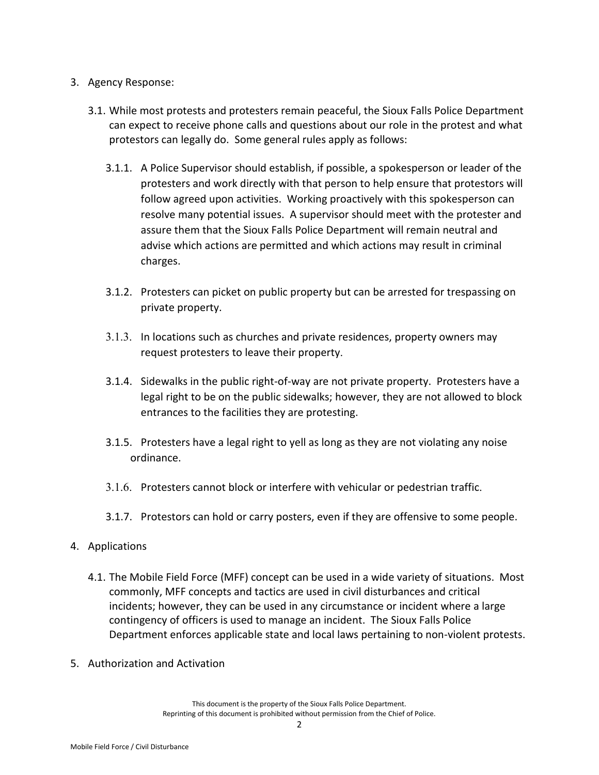## 3. Agency Response:

- 3.1. While most protests and protesters remain peaceful, the Sioux Falls Police Department can expect to receive phone calls and questions about our role in the protest and what protestors can legally do. Some general rules apply as follows:
	- 3.1.1. A Police Supervisor should establish, if possible, a spokesperson or leader of the protesters and work directly with that person to help ensure that protestors will follow agreed upon activities. Working proactively with this spokesperson can resolve many potential issues. A supervisor should meet with the protester and assure them that the Sioux Falls Police Department will remain neutral and advise which actions are permitted and which actions may result in criminal charges.
	- 3.1.2. Protesters can picket on public property but can be arrested for trespassing on private property.
	- 3.1.3. In locations such as churches and private residences, property owners may request protesters to leave their property.
	- 3.1.4. Sidewalks in the public right-of-way are not private property. Protesters have a legal right to be on the public sidewalks; however, they are not allowed to block entrances to the facilities they are protesting.
	- 3.1.5. Protesters have a legal right to yell as long as they are not violating any noise ordinance.
	- 3.1.6. Protesters cannot block or interfere with vehicular or pedestrian traffic.
	- 3.1.7. Protestors can hold or carry posters, even if they are offensive to some people.

## 4. Applications

- 4.1. The Mobile Field Force (MFF) concept can be used in a wide variety of situations. Most commonly, MFF concepts and tactics are used in civil disturbances and critical incidents; however, they can be used in any circumstance or incident where a large contingency of officers is used to manage an incident. The Sioux Falls Police Department enforces applicable state and local laws pertaining to non-violent protests.
- 5. Authorization and Activation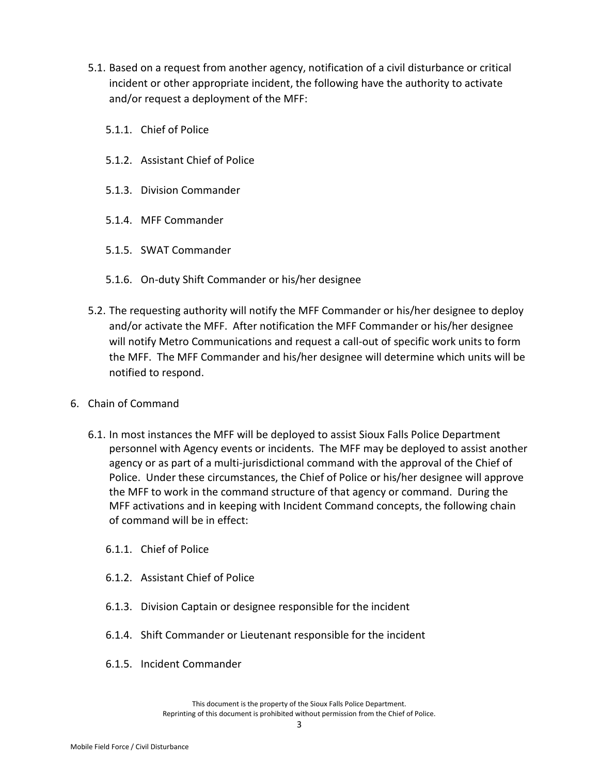- 5.1. Based on a request from another agency, notification of a civil disturbance or critical incident or other appropriate incident, the following have the authority to activate and/or request a deployment of the MFF:
	- 5.1.1. Chief of Police
	- 5.1.2. Assistant Chief of Police
	- 5.1.3. Division Commander
	- 5.1.4. MFF Commander
	- 5.1.5. SWAT Commander
	- 5.1.6. On-duty Shift Commander or his/her designee
- 5.2. The requesting authority will notify the MFF Commander or his/her designee to deploy and/or activate the MFF. After notification the MFF Commander or his/her designee will notify Metro Communications and request a call-out of specific work units to form the MFF. The MFF Commander and his/her designee will determine which units will be notified to respond.
- 6. Chain of Command
	- 6.1. In most instances the MFF will be deployed to assist Sioux Falls Police Department personnel with Agency events or incidents. The MFF may be deployed to assist another agency or as part of a multi-jurisdictional command with the approval of the Chief of Police. Under these circumstances, the Chief of Police or his/her designee will approve the MFF to work in the command structure of that agency or command. During the MFF activations and in keeping with Incident Command concepts, the following chain of command will be in effect:
		- 6.1.1. Chief of Police
		- 6.1.2. Assistant Chief of Police
		- 6.1.3. Division Captain or designee responsible for the incident
		- 6.1.4. Shift Commander or Lieutenant responsible for the incident
		- 6.1.5. Incident Commander

This document is the property of the Sioux Falls Police Department. Reprinting of this document is prohibited without permission from the Chief of Police.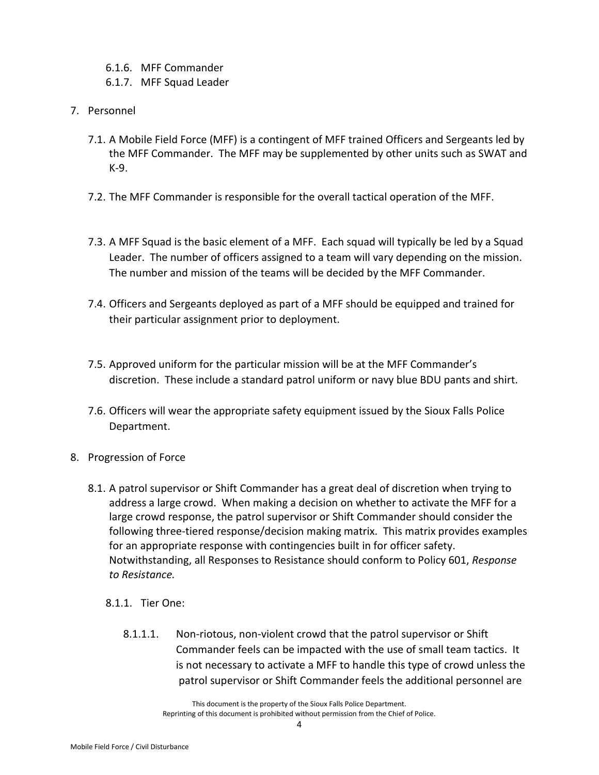- 6.1.6. MFF Commander
- 6.1.7. MFF Squad Leader
- 7. Personnel
	- 7.1. A Mobile Field Force (MFF) is a contingent of MFF trained Officers and Sergeants led by the MFF Commander. The MFF may be supplemented by other units such as SWAT and K-9.
	- 7.2. The MFF Commander is responsible for the overall tactical operation of the MFF.
	- 7.3. A MFF Squad is the basic element of a MFF. Each squad will typically be led by a Squad Leader. The number of officers assigned to a team will vary depending on the mission. The number and mission of the teams will be decided by the MFF Commander.
	- 7.4. Officers and Sergeants deployed as part of a MFF should be equipped and trained for their particular assignment prior to deployment.
	- 7.5. Approved uniform for the particular mission will be at the MFF Commander's discretion. These include a standard patrol uniform or navy blue BDU pants and shirt.
	- 7.6. Officers will wear the appropriate safety equipment issued by the Sioux Falls Police Department.
- 8. Progression of Force
	- 8.1. A patrol supervisor or Shift Commander has a great deal of discretion when trying to address a large crowd. When making a decision on whether to activate the MFF for a large crowd response, the patrol supervisor or Shift Commander should consider the following three-tiered response/decision making matrix. This matrix provides examples for an appropriate response with contingencies built in for officer safety. Notwithstanding, all Responses to Resistance should conform to Policy 601, *Response to Resistance.* 
		- 8.1.1. Tier One:
			- 8.1.1.1. Non-riotous, non-violent crowd that the patrol supervisor or Shift Commander feels can be impacted with the use of small team tactics. It is not necessary to activate a MFF to handle this type of crowd unless the patrol supervisor or Shift Commander feels the additional personnel are

This document is the property of the Sioux Falls Police Department. Reprinting of this document is prohibited without permission from the Chief of Police.